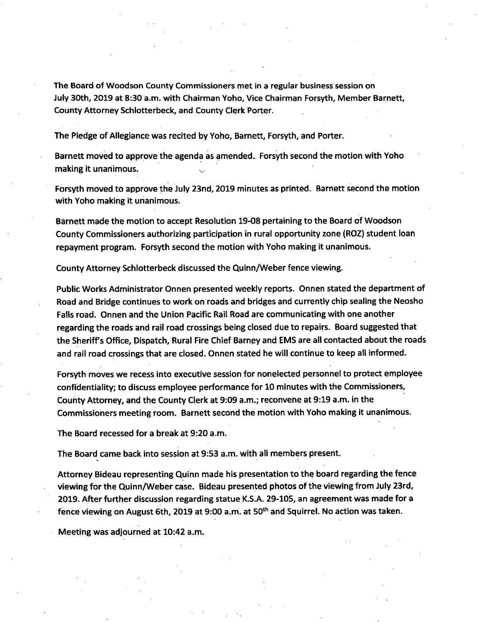The Board of Woodson County Commissioners met in a regular business session on July 30th, 2019 at 8:30 a.m. with Chairman Yoho, Vice Chairman Forsyth, Member Barnett, County Attorney Schlotterbeck, and County Clerk Porter.

The Pledge of Allegiance was recited by Yoho, Barnett, Forsyth, and Porter.

Barnett moved to approve the agenda as amended. Forsyth second the motion with Yoho making it unanimous.

Forsyth moved to approve the July 23nd, 2019 minutes as printed. Barnett second the motion with Yoho making it unanimous.

Barnett made the motion to accept Resolution 19-08 pertaining to the Board of Woodson County Commissioners authorizing participation in rural opportunity zone (ROZ)• student loan repayment program. Forsyth second the motion with Yoho making it unanimous.

County Attorney Schlotterbeck discussed the Quinn/Weber fence viewing.

Public Works Administrator Onnen presented weekly reports. Onnen stated the department of Road and Bridge continues to work on roads and bridges and currently chip sealing the Neosho Falls road. Onnen and the Union Pacific Rail Road are communicating with one another regarding the roads and rail road crossings being closed due to repairs. Board suggested that the Sheriffs Office, Dispatch, Rural Fire Chief Barney and EMS are all contacted about the roads and rail road crossings that are closed. Onnen stated he will continue to keep all informed.

Forsyth moves we recess into executive session for nonelected personnel to protect employee confidentiality; to discuss employee performance for 10 minutes with the Commissioners, County Attorney, and the County Clerk at 9:09 a.m.; reconvene at 9:19 a.m. in the Commissioners meeting room. Barnett second the motion with Yoho making it unanimous.

The Board recessed for a break at 9:20 a.m.

The Board came back into session at 9:53 a.m. with all members present.

Attorney Bideau representing Quinn made his presentation to the board regarding the fence viewing for the Quinn/Weber case. Bideau presented photos of the viewing from July 23rd, 2019. After further discussion regarding statue K.S.A. 29-105, an agreement was made for a fence viewing on August 6th, 2019 at 9:00 a.m. at 50th and Squirrel. No action was taken.

Meeting was adjourned at 10:42 a.m.